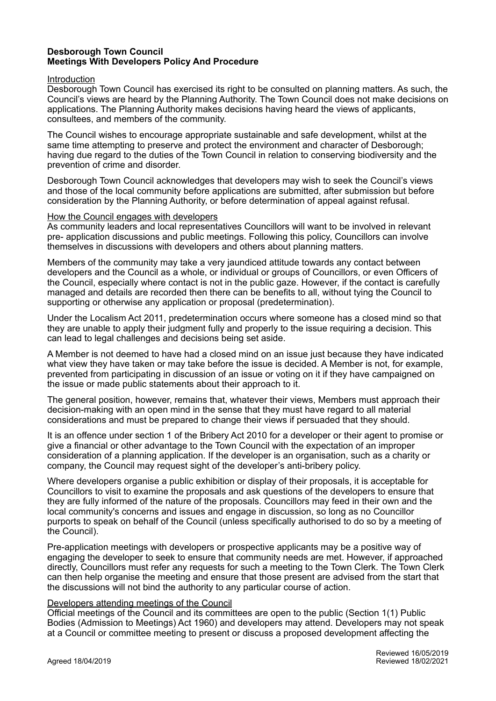# **Desborough Town Council Meetings With Developers Policy And Procedure**

#### Introduction

Desborough Town Council has exercised its right to be consulted on planning matters. As such, the Council's views are heard by the Planning Authority. The Town Council does not make decisions on applications. The Planning Authority makes decisions having heard the views of applicants, consultees, and members of the community.

The Council wishes to encourage appropriate sustainable and safe development, whilst at the same time attempting to preserve and protect the environment and character of Desborough; having due regard to the duties of the Town Council in relation to conserving biodiversity and the prevention of crime and disorder.

Desborough Town Council acknowledges that developers may wish to seek the Council's views and those of the local community before applications are submitted, after submission but before consideration by the Planning Authority, or before determination of appeal against refusal.

### How the Council engages with developers

As community leaders and local representatives Councillors will want to be involved in relevant pre- application discussions and public meetings. Following this policy, Councillors can involve themselves in discussions with developers and others about planning matters.

Members of the community may take a very jaundiced attitude towards any contact between developers and the Council as a whole, or individual or groups of Councillors, or even Officers of the Council, especially where contact is not in the public gaze. However, if the contact is carefully managed and details are recorded then there can be benefits to all, without tying the Council to supporting or otherwise any application or proposal (predetermination).

Under the Localism Act 2011, predetermination occurs where someone has a closed mind so that they are unable to apply their judgment fully and properly to the issue requiring a decision. This can lead to legal challenges and decisions being set aside.

A Member is not deemed to have had a closed mind on an issue just because they have indicated what view they have taken or may take before the issue is decided. A Member is not, for example, prevented from participating in discussion of an issue or voting on it if they have campaigned on the issue or made public statements about their approach to it.

The general position, however, remains that, whatever their views, Members must approach their decision-making with an open mind in the sense that they must have regard to all material considerations and must be prepared to change their views if persuaded that they should.

It is an offence under section 1 of the Bribery Act 2010 for a developer or their agent to promise or give a financial or other advantage to the Town Council with the expectation of an improper consideration of a planning application. If the developer is an organisation, such as a charity or company, the Council may request sight of the developer's anti-bribery policy.

Where developers organise a public exhibition or display of their proposals, it is acceptable for Councillors to visit to examine the proposals and ask questions of the developers to ensure that they are fully informed of the nature of the proposals. Councillors may feed in their own and the local community's concerns and issues and engage in discussion, so long as no Councillor purports to speak on behalf of the Council (unless specifically authorised to do so by a meeting of the Council).

Pre-application meetings with developers or prospective applicants may be a positive way of engaging the developer to seek to ensure that community needs are met. However, if approached directly, Councillors must refer any requests for such a meeting to the Town Clerk. The Town Clerk can then help organise the meeting and ensure that those present are advised from the start that the discussions will not bind the authority to any particular course of action.

### Developers attending meetings of the Council

Official meetings of the Council and its committees are open to the public (Section 1(1) Public Bodies (Admission to Meetings) Act 1960) and developers may attend. Developers may not speak at a Council or committee meeting to present or discuss a proposed development affecting the